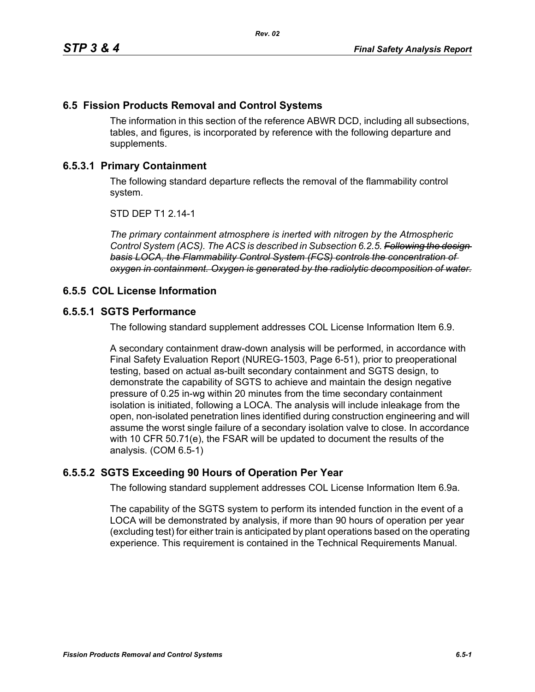# **6.5 Fission Products Removal and Control Systems**

The information in this section of the reference ABWR DCD, including all subsections, tables, and figures, is incorporated by reference with the following departure and supplements.

## **6.5.3.1 Primary Containment**

The following standard departure reflects the removal of the flammability control system.

STD DEP T1 2.14-1

*The primary containment atmosphere is inerted with nitrogen by the Atmospheric Control System (ACS). The ACS is described in Subsection 6.2.5. Following the design basis LOCA, the Flammability Control System (FCS) controls the concentration of oxygen in containment. Oxygen is generated by the radiolytic decomposition of water.*

#### **6.5.5 COL License Information**

#### **6.5.5.1 SGTS Performance**

The following standard supplement addresses COL License Information Item 6.9.

A secondary containment draw-down analysis will be performed, in accordance with Final Safety Evaluation Report (NUREG-1503, Page 6-51), prior to preoperational testing, based on actual as-built secondary containment and SGTS design, to demonstrate the capability of SGTS to achieve and maintain the design negative pressure of 0.25 in-wg within 20 minutes from the time secondary containment isolation is initiated, following a LOCA. The analysis will include inleakage from the open, non-isolated penetration lines identified during construction engineering and will assume the worst single failure of a secondary isolation valve to close. In accordance with 10 CFR 50.71(e), the FSAR will be updated to document the results of the analysis. (COM 6.5-1)

#### **6.5.5.2 SGTS Exceeding 90 Hours of Operation Per Year**

The following standard supplement addresses COL License Information Item 6.9a.

The capability of the SGTS system to perform its intended function in the event of a LOCA will be demonstrated by analysis, if more than 90 hours of operation per year (excluding test) for either train is anticipated by plant operations based on the operating experience. This requirement is contained in the Technical Requirements Manual.